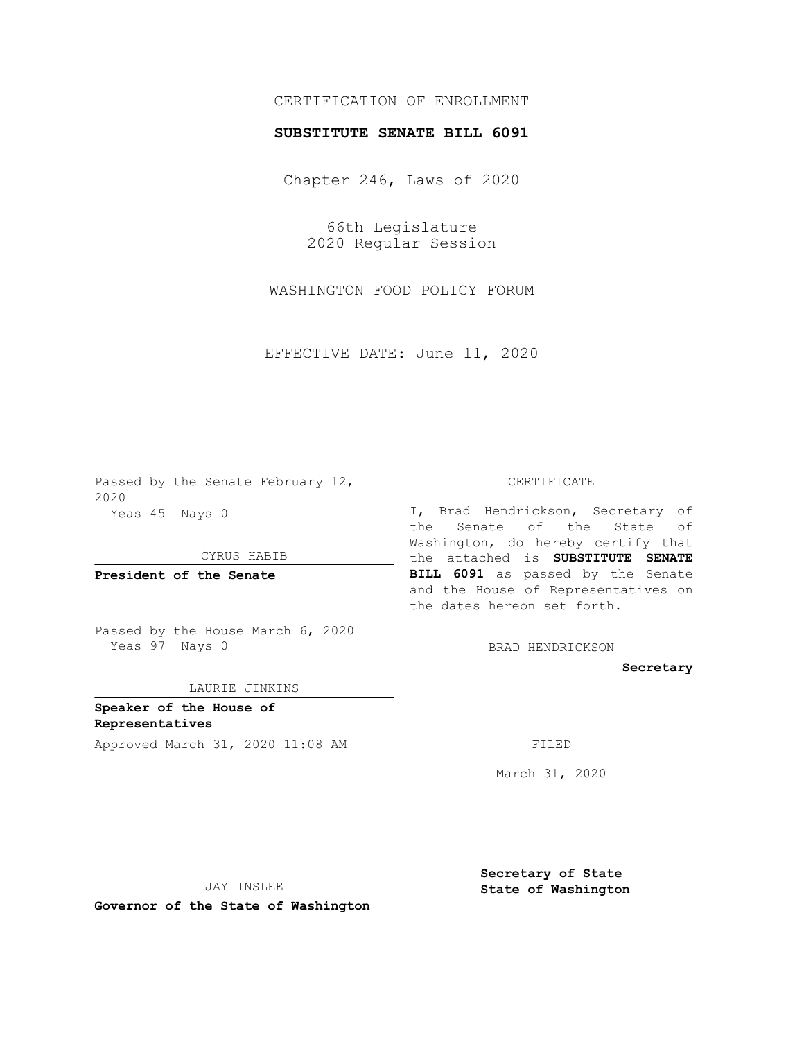## CERTIFICATION OF ENROLLMENT

## **SUBSTITUTE SENATE BILL 6091**

Chapter 246, Laws of 2020

66th Legislature 2020 Regular Session

WASHINGTON FOOD POLICY FORUM

EFFECTIVE DATE: June 11, 2020

Passed by the Senate February 12, 2020 Yeas 45 Nays 0

CYRUS HABIB

**President of the Senate**

Passed by the House March 6, 2020 Yeas 97 Nays 0

LAURIE JINKINS

**Speaker of the House of Representatives**

Approved March 31, 2020 11:08 AM

CERTIFICATE

I, Brad Hendrickson, Secretary of the Senate of the State of Washington, do hereby certify that the attached is **SUBSTITUTE SENATE BILL 6091** as passed by the Senate and the House of Representatives on the dates hereon set forth.

BRAD HENDRICKSON

**Secretary**

March 31, 2020

JAY INSLEE

**Governor of the State of Washington**

**Secretary of State State of Washington**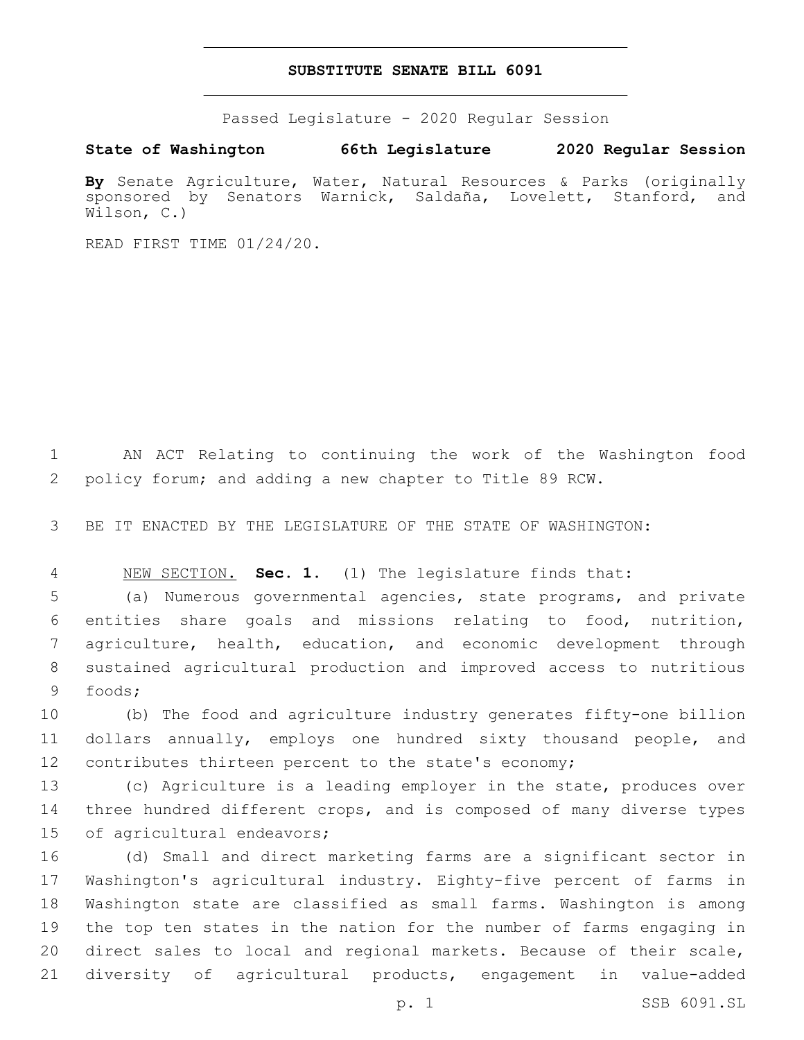## **SUBSTITUTE SENATE BILL 6091**

Passed Legislature - 2020 Regular Session

**State of Washington 66th Legislature 2020 Regular Session**

**By** Senate Agriculture, Water, Natural Resources & Parks (originally sponsored by Senators Warnick, Saldaña, Lovelett, Stanford, and Wilson, C.)

READ FIRST TIME 01/24/20.

 AN ACT Relating to continuing the work of the Washington food policy forum; and adding a new chapter to Title 89 RCW.

BE IT ENACTED BY THE LEGISLATURE OF THE STATE OF WASHINGTON:

NEW SECTION. **Sec. 1.** (1) The legislature finds that:

 (a) Numerous governmental agencies, state programs, and private entities share goals and missions relating to food, nutrition, agriculture, health, education, and economic development through sustained agricultural production and improved access to nutritious foods;9

 (b) The food and agriculture industry generates fifty-one billion dollars annually, employs one hundred sixty thousand people, and contributes thirteen percent to the state's economy;

 (c) Agriculture is a leading employer in the state, produces over 14 three hundred different crops, and is composed of many diverse types 15 of agricultural endeavors;

 (d) Small and direct marketing farms are a significant sector in Washington's agricultural industry. Eighty-five percent of farms in Washington state are classified as small farms. Washington is among the top ten states in the nation for the number of farms engaging in direct sales to local and regional markets. Because of their scale, diversity of agricultural products, engagement in value-added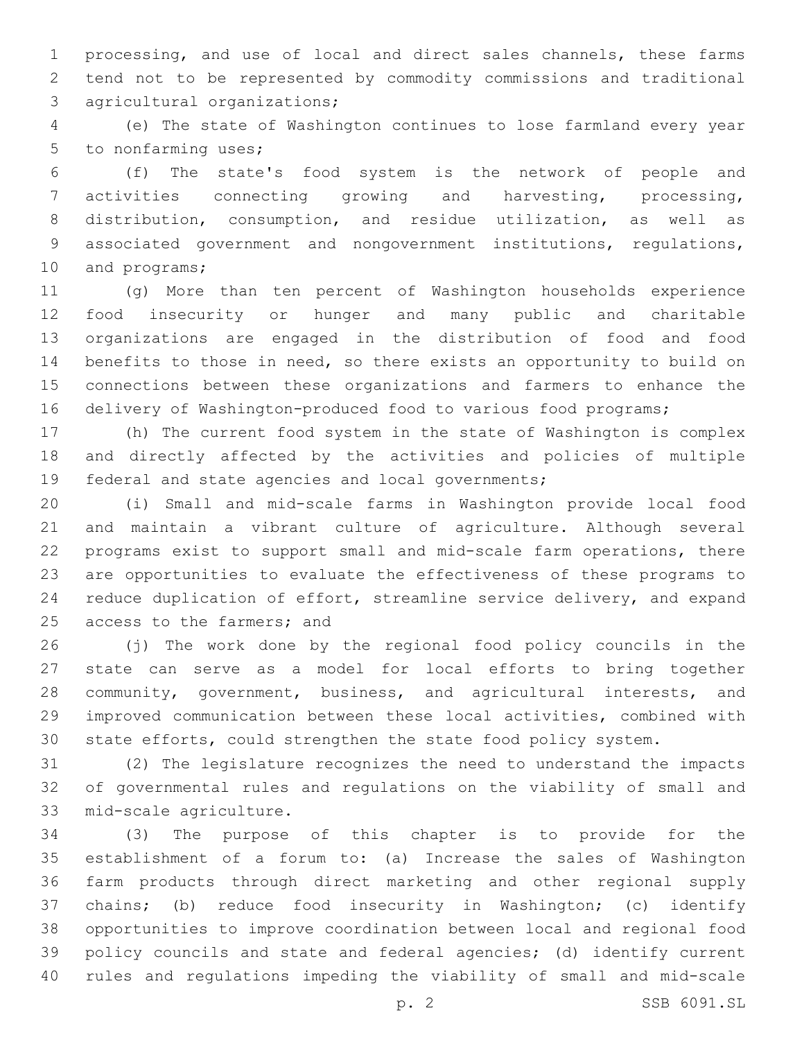processing, and use of local and direct sales channels, these farms tend not to be represented by commodity commissions and traditional 3 agricultural organizations;

 (e) The state of Washington continues to lose farmland every year 5 to nonfarming uses;

 (f) The state's food system is the network of people and activities connecting growing and harvesting, processing, distribution, consumption, and residue utilization, as well as associated government and nongovernment institutions, regulations, 10 and programs;

 (g) More than ten percent of Washington households experience food insecurity or hunger and many public and charitable organizations are engaged in the distribution of food and food benefits to those in need, so there exists an opportunity to build on connections between these organizations and farmers to enhance the delivery of Washington-produced food to various food programs;

 (h) The current food system in the state of Washington is complex and directly affected by the activities and policies of multiple 19 federal and state agencies and local governments;

 (i) Small and mid-scale farms in Washington provide local food and maintain a vibrant culture of agriculture. Although several programs exist to support small and mid-scale farm operations, there are opportunities to evaluate the effectiveness of these programs to reduce duplication of effort, streamline service delivery, and expand 25 access to the farmers; and

 (j) The work done by the regional food policy councils in the state can serve as a model for local efforts to bring together community, government, business, and agricultural interests, and improved communication between these local activities, combined with state efforts, could strengthen the state food policy system.

 (2) The legislature recognizes the need to understand the impacts of governmental rules and regulations on the viability of small and 33 mid-scale agriculture.

 (3) The purpose of this chapter is to provide for the establishment of a forum to: (a) Increase the sales of Washington farm products through direct marketing and other regional supply chains; (b) reduce food insecurity in Washington; (c) identify opportunities to improve coordination between local and regional food policy councils and state and federal agencies; (d) identify current rules and regulations impeding the viability of small and mid-scale

p. 2 SSB 6091.SL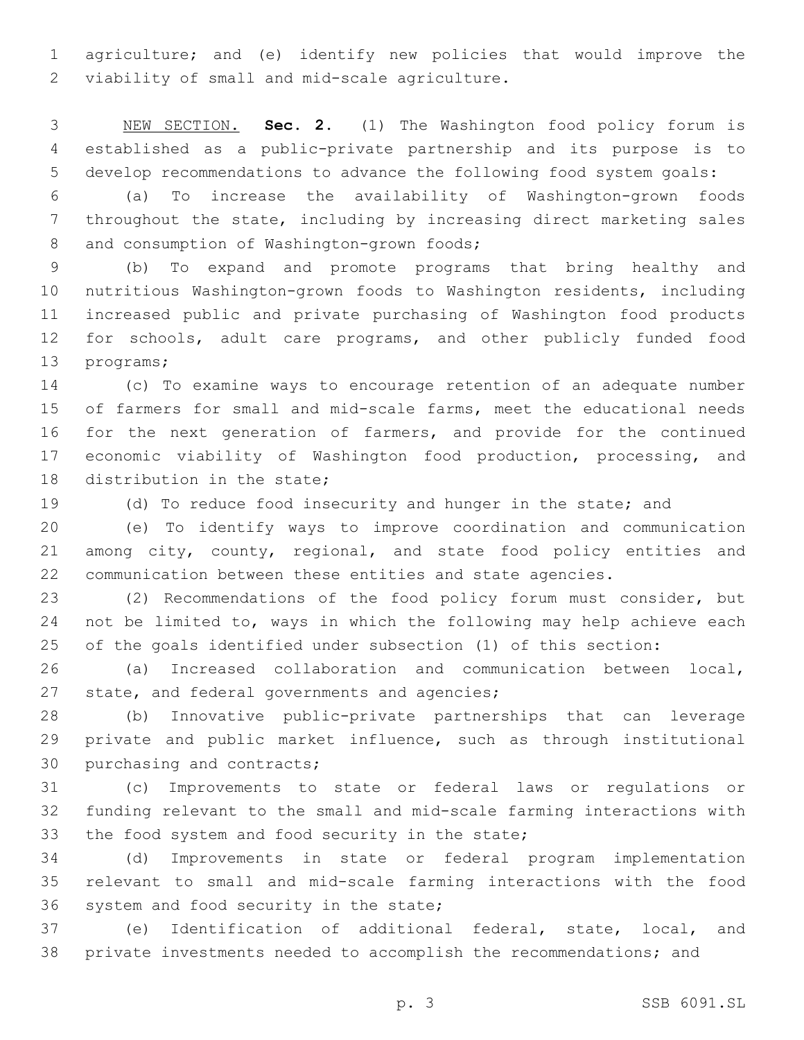agriculture; and (e) identify new policies that would improve the 2 viability of small and mid-scale agriculture.

 NEW SECTION. **Sec. 2.** (1) The Washington food policy forum is established as a public-private partnership and its purpose is to develop recommendations to advance the following food system goals:

 (a) To increase the availability of Washington-grown foods throughout the state, including by increasing direct marketing sales 8 and consumption of Washington-grown foods;

 (b) To expand and promote programs that bring healthy and nutritious Washington-grown foods to Washington residents, including increased public and private purchasing of Washington food products for schools, adult care programs, and other publicly funded food 13 programs;

 (c) To examine ways to encourage retention of an adequate number of farmers for small and mid-scale farms, meet the educational needs for the next generation of farmers, and provide for the continued 17 economic viability of Washington food production, processing, and 18 distribution in the state;

(d) To reduce food insecurity and hunger in the state; and

 (e) To identify ways to improve coordination and communication among city, county, regional, and state food policy entities and communication between these entities and state agencies.

 (2) Recommendations of the food policy forum must consider, but not be limited to, ways in which the following may help achieve each of the goals identified under subsection (1) of this section:

 (a) Increased collaboration and communication between local, 27 state, and federal governments and agencies;

 (b) Innovative public-private partnerships that can leverage private and public market influence, such as through institutional 30 purchasing and contracts;

 (c) Improvements to state or federal laws or regulations or funding relevant to the small and mid-scale farming interactions with 33 the food system and food security in the state;

 (d) Improvements in state or federal program implementation relevant to small and mid-scale farming interactions with the food 36 system and food security in the state;

 (e) Identification of additional federal, state, local, and private investments needed to accomplish the recommendations; and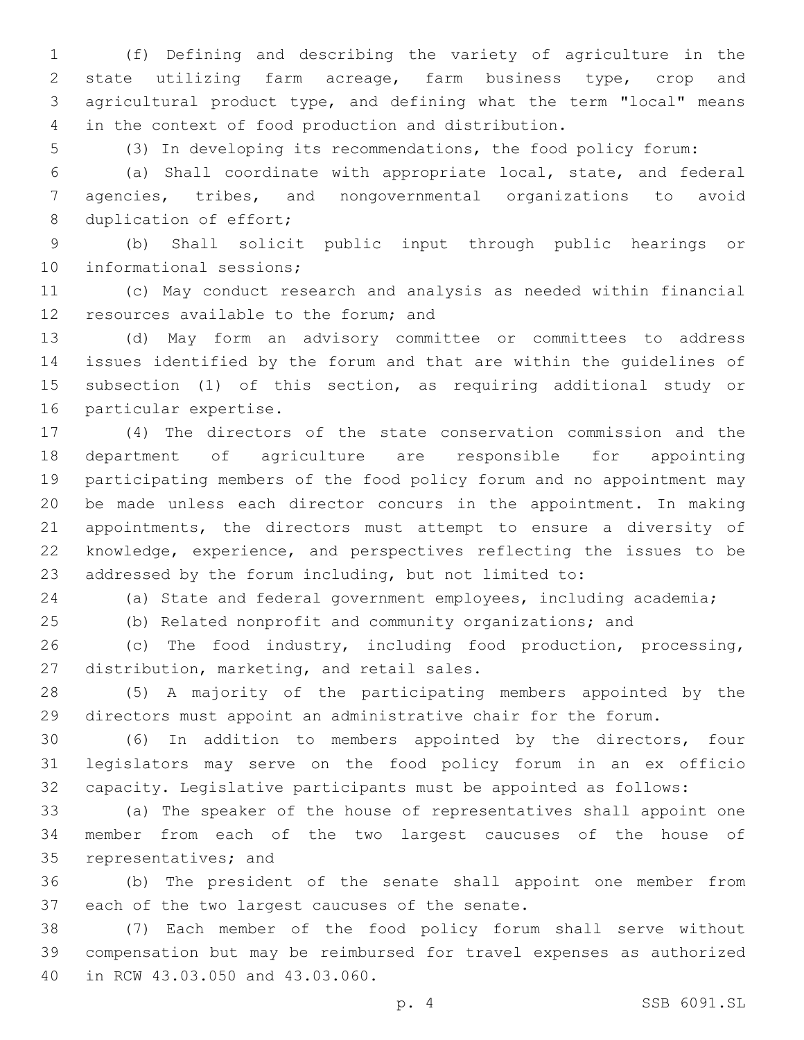(f) Defining and describing the variety of agriculture in the state utilizing farm acreage, farm business type, crop and agricultural product type, and defining what the term "local" means in the context of food production and distribution.

(3) In developing its recommendations, the food policy forum:

 (a) Shall coordinate with appropriate local, state, and federal agencies, tribes, and nongovernmental organizations to avoid 8 duplication of effort;

 (b) Shall solicit public input through public hearings or 10 informational sessions;

 (c) May conduct research and analysis as needed within financial 12 resources available to the forum; and

 (d) May form an advisory committee or committees to address issues identified by the forum and that are within the guidelines of subsection (1) of this section, as requiring additional study or 16 particular expertise.

 (4) The directors of the state conservation commission and the department of agriculture are responsible for appointing participating members of the food policy forum and no appointment may be made unless each director concurs in the appointment. In making appointments, the directors must attempt to ensure a diversity of knowledge, experience, and perspectives reflecting the issues to be addressed by the forum including, but not limited to:

(a) State and federal government employees, including academia;

(b) Related nonprofit and community organizations; and

 (c) The food industry, including food production, processing, 27 distribution, marketing, and retail sales.

 (5) A majority of the participating members appointed by the directors must appoint an administrative chair for the forum.

 (6) In addition to members appointed by the directors, four legislators may serve on the food policy forum in an ex officio capacity. Legislative participants must be appointed as follows:

 (a) The speaker of the house of representatives shall appoint one member from each of the two largest caucuses of the house of 35 representatives; and

 (b) The president of the senate shall appoint one member from 37 each of the two largest caucuses of the senate.

 (7) Each member of the food policy forum shall serve without compensation but may be reimbursed for travel expenses as authorized 40 in RCW 43.03.050 and 43.03.060.